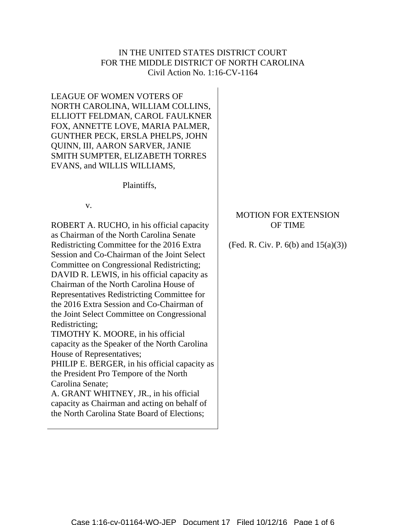# IN THE UNITED STATES DISTRICT COURT FOR THE MIDDLE DISTRICT OF NORTH CAROLINA Civil Action No. 1:16-CV-1164

LEAGUE OF WOMEN VOTERS OF NORTH CAROLINA, WILLIAM COLLINS, ELLIOTT FELDMAN, CAROL FAULKNER FOX, ANNETTE LOVE, MARIA PALMER, GUNTHER PECK, ERSLA PHELPS, JOHN QUINN, III, AARON SARVER, JANIE SMITH SUMPTER, ELIZABETH TORRES EVANS, and WILLIS WILLIAMS,

Plaintiffs,

v.

ROBERT A. RUCHO, in his official capacity as Chairman of the North Carolina Senate Redistricting Committee for the 2016 Extra Session and Co-Chairman of the Joint Select Committee on Congressional Redistricting; DAVID R. LEWIS, in his official capacity as Chairman of the North Carolina House of Representatives Redistricting Committee for the 2016 Extra Session and Co-Chairman of the Joint Select Committee on Congressional Redistricting; TIMOTHY K. MOORE, in his official capacity as the Speaker of the North Carolina House of Representatives; PHILIP E. BERGER, in his official capacity as the President Pro Tempore of the North Carolina Senate;

A. GRANT WHITNEY, JR., in his official capacity as Chairman and acting on behalf of the North Carolina State Board of Elections;

## MOTION FOR EXTENSION OF TIME

(Fed. R. Civ. P.  $6(b)$  and  $15(a)(3)$ )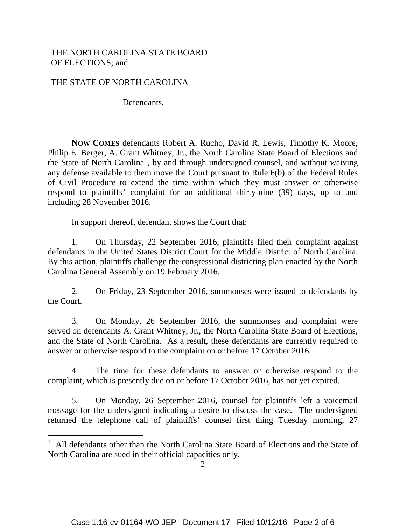## THE NORTH CAROLINA STATE BOARD OF ELECTIONS; and

THE STATE OF NORTH CAROLINA

i

Defendants.

**NOW COMES** defendants Robert A. Rucho, David R. Lewis, Timothy K. Moore, Philip E. Berger, A. Grant Whitney, Jr., the North Carolina State Board of Elections and the State of North Carolina<sup>[1](#page-1-0)</sup>, by and through undersigned counsel, and without waiving any defense available to them move the Court pursuant to Rule 6(b) of the Federal Rules of Civil Procedure to extend the time within which they must answer or otherwise respond to plaintiffs' complaint for an additional thirty-nine (39) days, up to and including 28 November 2016.

In support thereof, defendant shows the Court that:

1. On Thursday, 22 September 2016, plaintiffs filed their complaint against defendants in the United States District Court for the Middle District of North Carolina. By this action, plaintiffs challenge the congressional districting plan enacted by the North Carolina General Assembly on 19 February 2016.

2. On Friday, 23 September 2016, summonses were issued to defendants by the Court.

3. On Monday, 26 September 2016, the summonses and complaint were served on defendants A. Grant Whitney, Jr., the North Carolina State Board of Elections, and the State of North Carolina. As a result, these defendants are currently required to answer or otherwise respond to the complaint on or before 17 October 2016.

4. The time for these defendants to answer or otherwise respond to the complaint, which is presently due on or before 17 October 2016, has not yet expired.

5. On Monday, 26 September 2016, counsel for plaintiffs left a voicemail message for the undersigned indicating a desire to discuss the case. The undersigned returned the telephone call of plaintiffs' counsel first thing Tuesday morning, 27

<span id="page-1-0"></span><sup>1</sup> All defendants other than the North Carolina State Board of Elections and the State of North Carolina are sued in their official capacities only.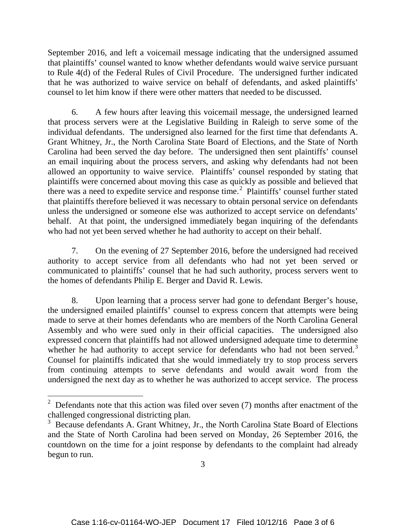September 2016, and left a voicemail message indicating that the undersigned assumed that plaintiffs' counsel wanted to know whether defendants would waive service pursuant to Rule 4(d) of the Federal Rules of Civil Procedure. The undersigned further indicated that he was authorized to waive service on behalf of defendants, and asked plaintiffs' counsel to let him know if there were other matters that needed to be discussed.

6. A few hours after leaving this voicemail message, the undersigned learned that process servers were at the Legislative Building in Raleigh to serve some of the individual defendants. The undersigned also learned for the first time that defendants A. Grant Whitney, Jr., the North Carolina State Board of Elections, and the State of North Carolina had been served the day before. The undersigned then sent plaintiffs' counsel an email inquiring about the process servers, and asking why defendants had not been allowed an opportunity to waive service. Plaintiffs' counsel responded by stating that plaintiffs were concerned about moving this case as quickly as possible and believed that there was a need to expedite service and response time.<sup>[2](#page-2-0)</sup> Plaintiffs' counsel further stated that plaintiffs therefore believed it was necessary to obtain personal service on defendants unless the undersigned or someone else was authorized to accept service on defendants' behalf. At that point, the undersigned immediately began inquiring of the defendants who had not yet been served whether he had authority to accept on their behalf.

7. On the evening of 27 September 2016, before the undersigned had received authority to accept service from all defendants who had not yet been served or communicated to plaintiffs' counsel that he had such authority, process servers went to the homes of defendants Philip E. Berger and David R. Lewis.

8. Upon learning that a process server had gone to defendant Berger's house, the undersigned emailed plaintiffs' counsel to express concern that attempts were being made to serve at their homes defendants who are members of the North Carolina General Assembly and who were sued only in their official capacities. The undersigned also expressed concern that plaintiffs had not allowed undersigned adequate time to determine whether he had authority to accept service for defendants who had not been served.<sup>[3](#page-2-1)</sup> Counsel for plaintiffs indicated that she would immediately try to stop process servers from continuing attempts to serve defendants and would await word from the undersigned the next day as to whether he was authorized to accept service. The process

i

<span id="page-2-0"></span> $2^2$  Defendants note that this action was filed over seven (7) months after enactment of the challenged congressional districting plan.

<span id="page-2-1"></span><sup>&</sup>lt;sup>3</sup> Because defendants A. Grant Whitney, Jr., the North Carolina State Board of Elections and the State of North Carolina had been served on Monday, 26 September 2016, the countdown on the time for a joint response by defendants to the complaint had already begun to run.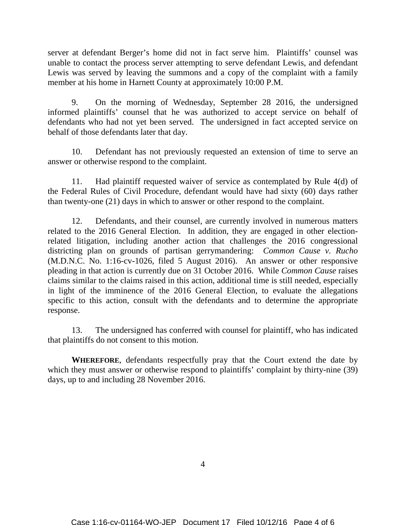server at defendant Berger's home did not in fact serve him. Plaintiffs' counsel was unable to contact the process server attempting to serve defendant Lewis, and defendant Lewis was served by leaving the summons and a copy of the complaint with a family member at his home in Harnett County at approximately 10:00 P.M.

9. On the morning of Wednesday, September 28 2016, the undersigned informed plaintiffs' counsel that he was authorized to accept service on behalf of defendants who had not yet been served. The undersigned in fact accepted service on behalf of those defendants later that day.

10. Defendant has not previously requested an extension of time to serve an answer or otherwise respond to the complaint.

11. Had plaintiff requested waiver of service as contemplated by Rule 4(d) of the Federal Rules of Civil Procedure, defendant would have had sixty (60) days rather than twenty-one (21) days in which to answer or other respond to the complaint.

12. Defendants, and their counsel, are currently involved in numerous matters related to the 2016 General Election. In addition, they are engaged in other electionrelated litigation, including another action that challenges the 2016 congressional districting plan on grounds of partisan gerrymandering: *Common Cause v. Rucho* (M.D.N.C. No. 1:16-cv-1026, filed 5 August 2016). An answer or other responsive pleading in that action is currently due on 31 October 2016. While *Common Cause* raises claims similar to the claims raised in this action, additional time is still needed, especially in light of the imminence of the 2016 General Election, to evaluate the allegations specific to this action, consult with the defendants and to determine the appropriate response.

13. The undersigned has conferred with counsel for plaintiff, who has indicated that plaintiffs do not consent to this motion.

**WHEREFORE**, defendants respectfully pray that the Court extend the date by which they must answer or otherwise respond to plaintiffs' complaint by thirty-nine (39) days, up to and including 28 November 2016.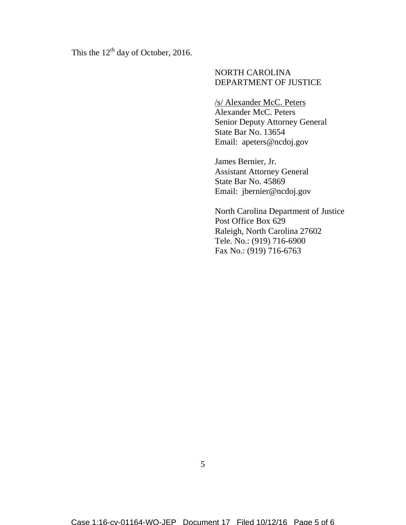This the  $12<sup>th</sup>$  day of October, 2016.

#### NORTH CAROLINA DEPARTMENT OF JUSTICE

/s/ Alexander McC. Peters Alexander McC. Peters Senior Deputy Attorney General State Bar No. 13654 Email: apeters@ncdoj.gov

James Bernier, Jr. Assistant Attorney General State Bar No. 45869 Email: jbernier@ncdoj.gov

North Carolina Department of Justice Post Office Box 629 Raleigh, North Carolina 27602 Tele. No.: (919) 716-6900 Fax No.: (919) 716-6763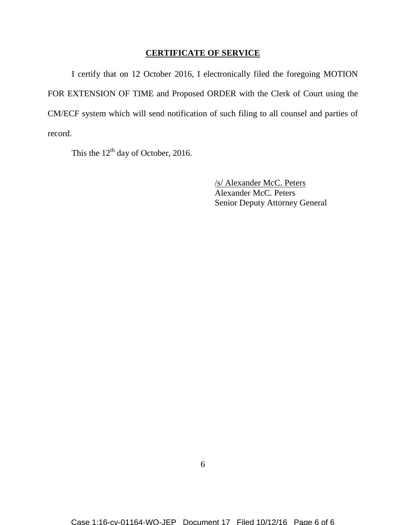### **CERTIFICATE OF SERVICE**

I certify that on 12 October 2016, I electronically filed the foregoing MOTION FOR EXTENSION OF TIME and Proposed ORDER with the Clerk of Court using the CM/ECF system which will send notification of such filing to all counsel and parties of record.

This the  $12<sup>th</sup>$  day of October, 2016.

/s/ Alexander McC. Peters Alexander McC. Peters Senior Deputy Attorney General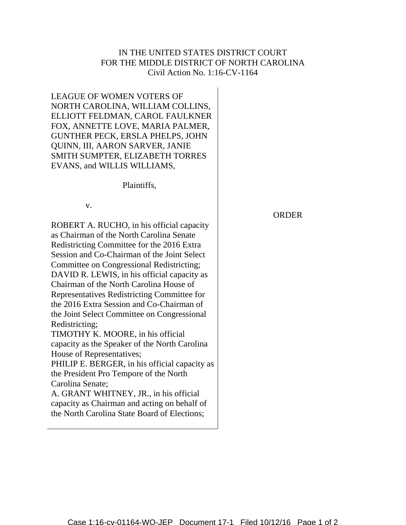# IN THE UNITED STATES DISTRICT COURT FOR THE MIDDLE DISTRICT OF NORTH CAROLINA Civil Action No. 1:16-CV-1164

LEAGUE OF WOMEN VOTERS OF NORTH CAROLINA, WILLIAM COLLINS, ELLIOTT FELDMAN, CAROL FAULKNER FOX, ANNETTE LOVE, MARIA PALMER, GUNTHER PECK, ERSLA PHELPS, JOHN QUINN, III, AARON SARVER, JANIE SMITH SUMPTER, ELIZABETH TORRES EVANS, and WILLIS WILLIAMS,

Plaintiffs,

v.

ROBERT A. RUCHO, in his official capacity as Chairman of the North Carolina Senate Redistricting Committee for the 2016 Extra Session and Co-Chairman of the Joint Select Committee on Congressional Redistricting; DAVID R. LEWIS, in his official capacity as Chairman of the North Carolina House of Representatives Redistricting Committee for the 2016 Extra Session and Co-Chairman of the Joint Select Committee on Congressional Redistricting; TIMOTHY K. MOORE, in his official capacity as the Speaker of the North Carolina House of Representatives; PHILIP E. BERGER, in his official capacity as the President Pro Tempore of the North Carolina Senate;

A. GRANT WHITNEY, JR., in his official capacity as Chairman and acting on behalf of the North Carolina State Board of Elections;

ORDER